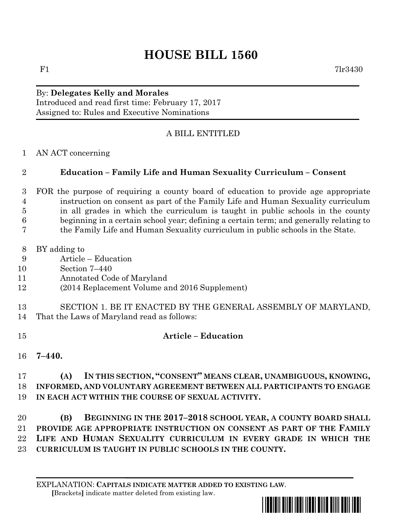## **HOUSE BILL 1560**

## By: **Delegates Kelly and Morales** Introduced and read first time: February 17, 2017 Assigned to: Rules and Executive Nominations

## A BILL ENTITLED

AN ACT concerning

## **Education – Family Life and Human Sexuality Curriculum – Consent**

- FOR the purpose of requiring a county board of education to provide age appropriate instruction on consent as part of the Family Life and Human Sexuality curriculum in all grades in which the curriculum is taught in public schools in the county beginning in a certain school year; defining a certain term; and generally relating to the Family Life and Human Sexuality curriculum in public schools in the State.
- BY adding to
- Article Education
- Section 7–440
- Annotated Code of Maryland
- (2014 Replacement Volume and 2016 Supplement)
- SECTION 1. BE IT ENACTED BY THE GENERAL ASSEMBLY OF MARYLAND, That the Laws of Maryland read as follows:
- 
- **Article – Education**
- **7–440.**

 **(A) IN THIS SECTION, "CONSENT" MEANS CLEAR, UNAMBIGUOUS, KNOWING, INFORMED, AND VOLUNTARY AGREEMENT BETWEEN ALL PARTICIPANTS TO ENGAGE IN EACH ACT WITHIN THE COURSE OF SEXUAL ACTIVITY.**

 **(B) BEGINNING IN THE 2017–2018 SCHOOL YEAR, A COUNTY BOARD SHALL PROVIDE AGE APPROPRIATE INSTRUCTION ON CONSENT AS PART OF THE FAMILY LIFE AND HUMAN SEXUALITY CURRICULUM IN EVERY GRADE IN WHICH THE CURRICULUM IS TAUGHT IN PUBLIC SCHOOLS IN THE COUNTY.**